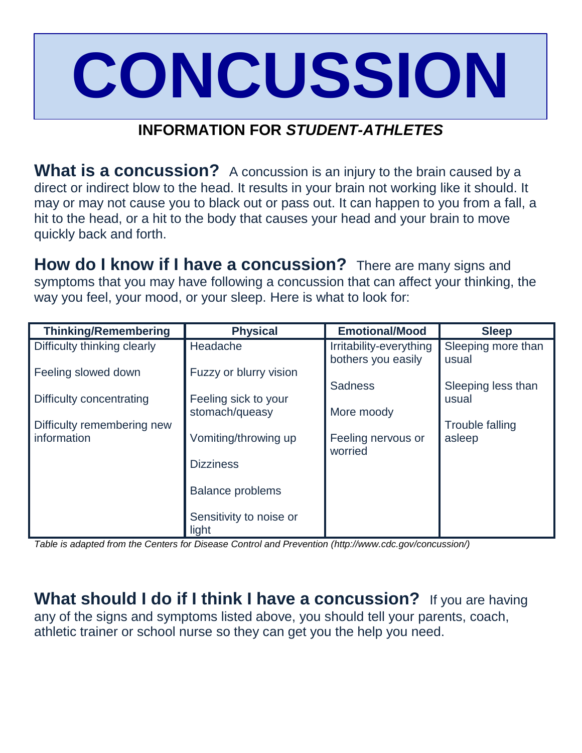## **CONCUSSION**

## **INFORMATION FOR** *STUDENT-ATHLETES*

**What is a concussion?** A concussion is an injury to the brain caused by a direct or indirect blow to the head. It results in your brain not working like it should. It may or may not cause you to black out or pass out. It can happen to you from a fall, a hit to the head, or a hit to the body that causes your head and your brain to move quickly back and forth.

**How do I know if I have a concussion?** There are many signs and symptoms that you may have following a concussion that can affect your thinking, the way you feel, your mood, or your sleep. Here is what to look for:

| <b>Thinking/Remembering</b>               | <b>Physical</b>         | <b>Emotional/Mood</b>   | <b>Sleep</b>                     |
|-------------------------------------------|-------------------------|-------------------------|----------------------------------|
| Difficulty thinking clearly               | Headache                | Irritability-everything | Sleeping more than               |
|                                           |                         | bothers you easily      | usual                            |
| Feeling slowed down                       | Fuzzy or blurry vision  |                         |                                  |
|                                           |                         | <b>Sadness</b>          | Sleeping less than               |
| Difficulty concentrating                  | Feeling sick to your    |                         | usual                            |
|                                           | stomach/queasy          | More moody              |                                  |
| Difficulty remembering new<br>information | Vomiting/throwing up    | Feeling nervous or      | <b>Trouble falling</b><br>asleep |
|                                           |                         | worried                 |                                  |
|                                           | <b>Dizziness</b>        |                         |                                  |
|                                           |                         |                         |                                  |
|                                           | <b>Balance problems</b> |                         |                                  |
|                                           |                         |                         |                                  |
|                                           | Sensitivity to noise or |                         |                                  |
|                                           | light                   |                         |                                  |

*Table is adapted from the Centers for Disease Control and Prevention (http://www.cdc.gov/concussion/)*

**What should I do if I think I have a concussion?** If you are having any of the signs and symptoms listed above, you should tell your parents, coach, athletic trainer or school nurse so they can get you the help you need.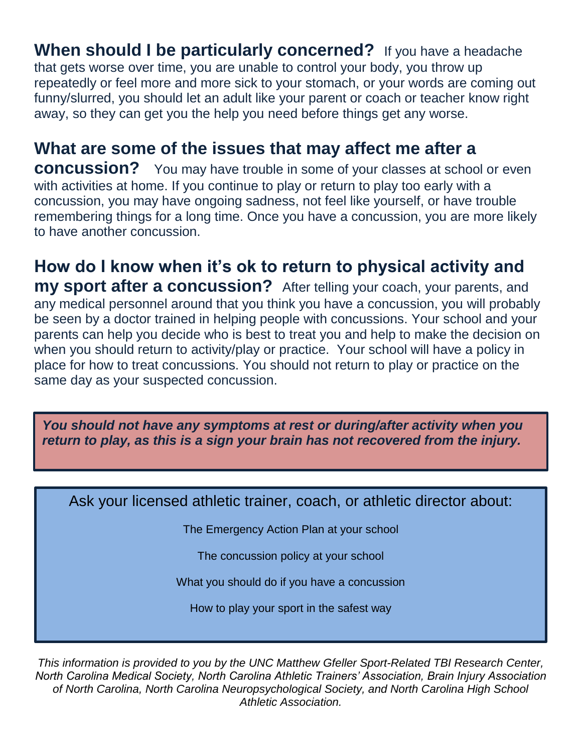**When should I be particularly concerned?** If you have a headache that gets worse over time, you are unable to control your body, you throw up repeatedly or feel more and more sick to your stomach, or your words are coming out funny/slurred, you should let an adult like your parent or coach or teacher know right away, so they can get you the help you need before things get any worse.

**What are some of the issues that may affect me after a concussion?** You may have trouble in some of your classes at school or even with activities at home. If you continue to play or return to play too early with a concussion, you may have ongoing sadness, not feel like yourself, or have trouble remembering things for a long time. Once you have a concussion, you are more likely

to have another concussion.

## **How do I know when it's ok to return to physical activity and**

**my sport after a concussion?** After telling your coach, your parents, and any medical personnel around that you think you have a concussion, you will probably be seen by a doctor trained in helping people with concussions. Your school and your parents can help you decide who is best to treat you and help to make the decision on when you should return to activity/play or practice. Your school will have a policy in place for how to treat concussions. You should not return to play or practice on the same day as your suspected concussion.

*You should not have any symptoms at rest or during/after activity when you return to play, as this is a sign your brain has not recovered from the injury.*

Ask your licensed athletic trainer, coach, or athletic director about:

The Emergency Action Plan at your school

The concussion policy at your school

What you should do if you have a concussion

How to play your sport in the safest way

*This information is provided to you by the UNC Matthew Gfeller Sport-Related TBI Research Center, North Carolina Medical Society, North Carolina Athletic Trainers' Association, Brain Injury Association of North Carolina, North Carolina Neuropsychological Society, and North Carolina High School Athletic Association.*